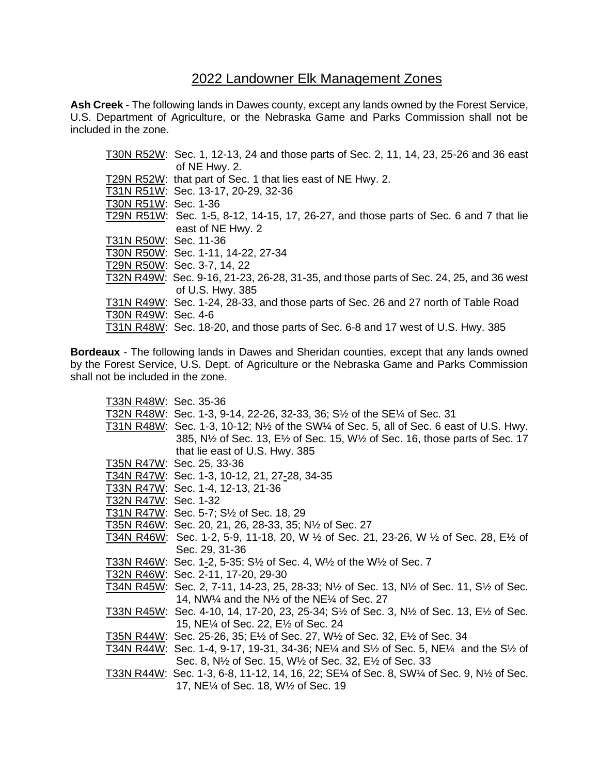## 2022 Landowner Elk Management Zones

**Ash Creek** - The following lands in Dawes county, except any lands owned by the Forest Service, U.S. Department of Agriculture, or the Nebraska Game and Parks Commission shall not be included in the zone.

|                       | T30N R52W: Sec. 1, 12-13, 24 and those parts of Sec. 2, 11, 14, 23, 25-26 and 36 east  |
|-----------------------|----------------------------------------------------------------------------------------|
|                       | of NE Hwy. 2.                                                                          |
|                       | T29N R52W: that part of Sec. 1 that lies east of NE Hwy. 2.                            |
|                       | T31N R51W: Sec. 13-17, 20-29, 32-36                                                    |
| T30N R51W: Sec. 1-36  |                                                                                        |
|                       | T29N R51W: Sec. 1-5, 8-12, 14-15, 17, 26-27, and those parts of Sec. 6 and 7 that lie  |
|                       | east of NE Hwy. 2                                                                      |
| T31N R50W: Sec. 11-36 |                                                                                        |
|                       | T30N R50W: Sec. 1-11, 14-22, 27-34                                                     |
|                       | T29N R50W: Sec. 3-7, 14, 22                                                            |
|                       | T32N R49W: Sec. 9-16, 21-23, 26-28, 31-35, and those parts of Sec. 24, 25, and 36 west |
|                       | of U.S. Hwy. 385                                                                       |
|                       | T31N R49W: Sec. 1-24, 28-33, and those parts of Sec. 26 and 27 north of Table Road     |
| T30N R49W: Sec. 4-6   |                                                                                        |
|                       | T31N R48W: Sec. 18-20, and those parts of Sec. 6-8 and 17 west of U.S. Hwy. 385        |

**Bordeaux** - The following lands in Dawes and Sheridan counties, except that any lands owned by the Forest Service, U.S. Dept. of Agriculture or the Nebraska Game and Parks Commission shall not be included in the zone.

| T33N R48W: Sec. 35-36 |                                                                                                                                                           |
|-----------------------|-----------------------------------------------------------------------------------------------------------------------------------------------------------|
|                       | T32N R48W: Sec. 1-3, 9-14, 22-26, 32-33, 36; S <sup>1</sup> / <sub>2</sub> of the SE <sup>1</sup> / <sub>4</sub> of Sec. 31                               |
|                       | T31N R48W: Sec. 1-3, 10-12; N <sup>1</sup> / <sub>2</sub> of the SW <sup>1</sup> / <sub>4</sub> of Sec. 5, all of Sec. 6 east of U.S. Hwy.                |
|                       | 385, N <sup>1</sup> / <sub>2</sub> of Sec. 13, E <sup>1</sup> / <sub>2</sub> of Sec. 15, W <sup>1</sup> / <sub>2</sub> of Sec. 16, those parts of Sec. 17 |
|                       | that lie east of U.S. Hwy. 385                                                                                                                            |
|                       | T35N R47W: Sec. 25, 33-36                                                                                                                                 |
|                       | T34N R47W: Sec. 1-3, 10-12, 21, 27-28, 34-35                                                                                                              |
|                       | T33N R47W: Sec. 1-4, 12-13, 21-36                                                                                                                         |
| T32N R47W: Sec. 1-32  |                                                                                                                                                           |
|                       | T31N R47W: Sec. 5-7; S <sup>1</sup> / <sub>2</sub> of Sec. 18, 29                                                                                         |
|                       | T35N R46W: Sec. 20, 21, 26, 28-33, 35; N1/2 of Sec. 27                                                                                                    |
|                       | T34N R46W: Sec. 1-2, 5-9, 11-18, 20, W $\frac{1}{2}$ of Sec. 21, 23-26, W $\frac{1}{2}$ of Sec. 28, E $\frac{1}{2}$ of                                    |
|                       | Sec. 29, 31-36                                                                                                                                            |
|                       | T33N R46W: Sec. 1-2, 5-35; S <sup>1</sup> / <sub>2</sub> of Sec. 4, W <sup>1</sup> / <sub>2</sub> of the W <sup>1</sup> / <sub>2</sub> of Sec. 7          |
|                       | T32N R46W: Sec. 2-11, 17-20, 29-30                                                                                                                        |
|                       | T34N R45W: Sec. 2, 7-11, 14-23, 25, 28-33; N½ of Sec. 13, N½ of Sec. 11, S½ of Sec.                                                                       |
|                       | 14, NW $\frac{1}{4}$ and the N $\frac{1}{2}$ of the NE $\frac{1}{4}$ of Sec. 27                                                                           |
|                       | T33N R45W: Sec. 4-10, 14, 17-20, 23, 25-34; S½ of Sec. 3, N½ of Sec. 13, E½ of Sec.                                                                       |
|                       | 15, NE <sup>1</sup> / <sub>4</sub> of Sec. 22, E <sup>1</sup> / <sub>2</sub> of Sec. 24                                                                   |
|                       | T35N R44W: Sec. 25-26, 35; E1/2 of Sec. 27, W1/2 of Sec. 32, E1/2 of Sec. 34                                                                              |
|                       | T34N R44W: Sec. 1-4, 9-17, 19-31, 34-36; NE¼ and S½ of Sec. 5, NE¼ and the S½ of                                                                          |
|                       | Sec. 8, N <sup>1</sup> / <sub>2</sub> of Sec. 15, W <sup>1</sup> / <sub>2</sub> of Sec. 32, E <sup>1</sup> / <sub>2</sub> of Sec. 33                      |
|                       | T33N R44W: Sec. 1-3, 6-8, 11-12, 14, 16, 22; SE1/4 of Sec. 8, SW1/4 of Sec. 9, N1/2 of Sec.                                                               |
|                       | 17, NE <sup>1</sup> of Sec. 18, W <sup>1</sup> / <sub>2</sub> of Sec. 19                                                                                  |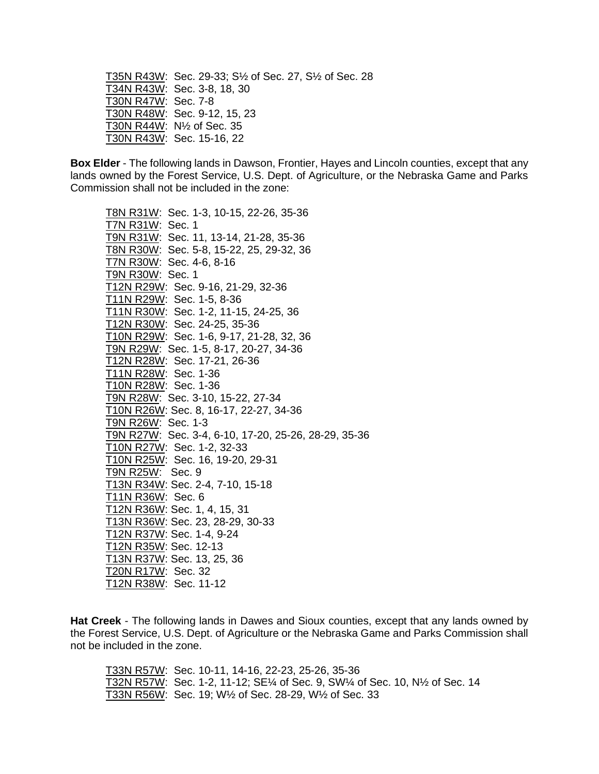T35N R43W: Sec. 29-33; S½ of Sec. 27, S½ of Sec. 28 T34N R43W: Sec. 3-8, 18, 30 T30N R47W: Sec. 7-8 T30N R48W: Sec. 9-12, 15, 23 T30N R44W: N½ of Sec. 35 T30N R43W: Sec. 15-16, 22

**Box Elder** - The following lands in Dawson, Frontier, Hayes and Lincoln counties, except that any lands owned by the Forest Service, U.S. Dept. of Agriculture, or the Nebraska Game and Parks Commission shall not be included in the zone:

T8N R31W: Sec. 1-3, 10-15, 22-26, 35-36 T7N R31W: Sec. 1 T9N R31W: Sec. 11, 13-14, 21-28, 35-36 T8N R30W: Sec. 5-8, 15-22, 25, 29-32, 36 T7N R30W: Sec. 4-6, 8-16 T9N R30W: Sec. 1 T12N R29W: Sec. 9-16, 21-29, 32-36 T11N R29W: Sec. 1-5, 8-36 T11N R30W: Sec. 1-2, 11-15, 24-25, 36 T12N R30W: Sec. 24-25, 35-36 T10N R29W: Sec. 1-6, 9-17, 21-28, 32, 36 T9N R29W: Sec. 1-5, 8-17, 20-27, 34-36 T12N R28W: Sec. 17-21, 26-36 T11N R28W: Sec. 1-36 T10N R28W: Sec. 1-36 T9N R28W: Sec. 3-10, 15-22, 27-34 T10N R26W: Sec. 8, 16-17, 22-27, 34-36 T9N R26W: Sec. 1-3 T9N R27W: Sec. 3-4, 6-10, 17-20, 25-26, 28-29, 35-36 T10N R27W: Sec. 1-2, 32-33 T10N R25W: Sec. 16, 19-20, 29-31 T9N R25W: Sec. 9 T13N R34W: Sec. 2-4, 7-10, 15-18 T11N R36W: Sec. 6 T12N R36W: Sec. 1, 4, 15, 31 T13N R36W: Sec. 23, 28-29, 30-33 T12N R37W: Sec. 1-4, 9-24 T12N R35W: Sec. 12-13 T13N R37W: Sec. 13, 25, 36 T20N R17W: Sec. 32 T12N R38W: Sec. 11-12

**Hat Creek** - The following lands in Dawes and Sioux counties, except that any lands owned by the Forest Service, U.S. Dept. of Agriculture or the Nebraska Game and Parks Commission shall not be included in the zone.

T33N R57W: Sec. 10-11, 14-16, 22-23, 25-26, 35-36 T32N R57W: Sec. 1-2, 11-12; SE¼ of Sec. 9, SW¼ of Sec. 10, N½ of Sec. 14 T33N R56W: Sec. 19; W½ of Sec. 28-29, W½ of Sec. 33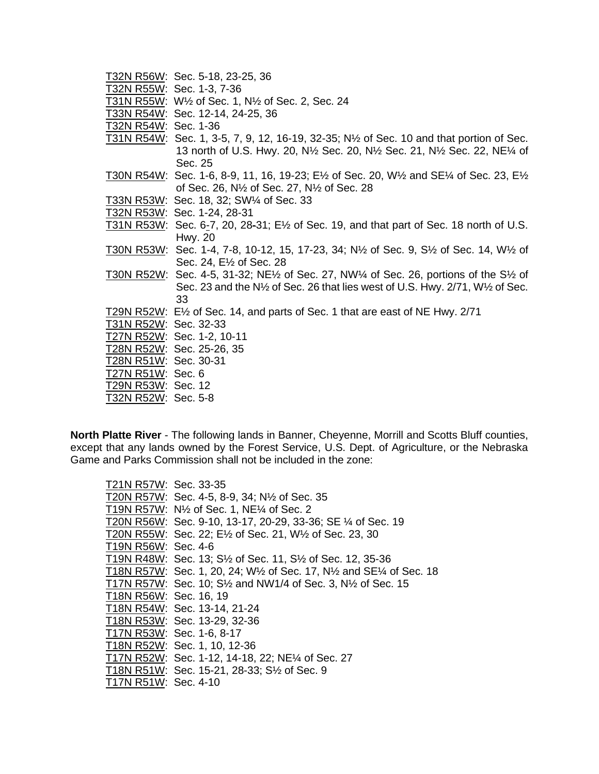|                       | T32N R56W: Sec. 5-18, 23-25, 36                                                                                                  |
|-----------------------|----------------------------------------------------------------------------------------------------------------------------------|
|                       | T32N R55W: Sec. 1-3, 7-36                                                                                                        |
|                       | T31N R55W: W <sup>1</sup> / <sub>2</sub> of Sec. 1, N <sup>1</sup> / <sub>2</sub> of Sec. 2, Sec. 24                             |
|                       | T33N R54W: Sec. 12-14, 24-25, 36                                                                                                 |
| T32N R54W: Sec. 1-36  |                                                                                                                                  |
|                       | T31N R54W: Sec. 1, 3-5, 7, 9, 12, 16-19, 32-35; $N\frac{1}{2}$ of Sec. 10 and that portion of Sec.                               |
|                       | 13 north of U.S. Hwy. 20, N <sup>1/2</sup> Sec. 20, N <sup>1/2</sup> Sec. 21, N <sup>1</sup> /2 Sec. 22, NE <sup>1</sup> /4 of   |
|                       | Sec. 25                                                                                                                          |
|                       | T30N R54W: Sec. 1-6, 8-9, 11, 16, 19-23; E½ of Sec. 20, W½ and SE¼ of Sec. 23, E½                                                |
|                       | of Sec. 26, N <sup>1</sup> / <sub>2</sub> of Sec. 27, N <sup>1</sup> / <sub>2</sub> of Sec. 28                                   |
|                       | T33N R53W: Sec. 18, 32; SW1/4 of Sec. 33                                                                                         |
|                       | T32N R53W: Sec. 1-24, 28-31                                                                                                      |
|                       | T31N R53W: Sec. 6-7, 20, 28-31; E $\frac{1}{2}$ of Sec. 19, and that part of Sec. 18 north of U.S.                               |
|                       | Hwy. 20                                                                                                                          |
|                       | T30N R53W: Sec. 1-4, 7-8, 10-12, 15, 17-23, 34; N½ of Sec. 9, S½ of Sec. 14, W½ of                                               |
|                       | Sec. 24, E <sup>1/2</sup> of Sec. 28                                                                                             |
|                       | T30N R52W: Sec. 4-5, 31-32; NE $\frac{1}{2}$ of Sec. 27, NW $\frac{1}{4}$ of Sec. 26, portions of the S $\frac{1}{2}$ of         |
|                       | Sec. 23 and the N <sup>1</sup> / <sub>2</sub> of Sec. 26 that lies west of U.S. Hwy. 2/71, W <sup>1</sup> / <sub>2</sub> of Sec. |
|                       | 33                                                                                                                               |
|                       | T29N R52W: E1/ <sub>2</sub> of Sec. 14, and parts of Sec. 1 that are east of NE Hwy. 2/71                                        |
| T31N R52W: Sec. 32-33 |                                                                                                                                  |
|                       | T27N R52W: Sec. 1-2, 10-11                                                                                                       |
|                       | T28N R52W: Sec. 25-26, 35                                                                                                        |
| T28N R51W: Sec. 30-31 |                                                                                                                                  |
| T27N R51W: Sec. 6     |                                                                                                                                  |
| T29N R53W: Sec. 12    |                                                                                                                                  |
| T32N R52W: Sec. 5-8   |                                                                                                                                  |

**North Platte River** - The following lands in Banner, Cheyenne, Morrill and Scotts Bluff counties, except that any lands owned by the Forest Service, U.S. Dept. of Agriculture, or the Nebraska Game and Parks Commission shall not be included in the zone:

| T21N R57W: Sec. 33-35  |                                                                                                                 |
|------------------------|-----------------------------------------------------------------------------------------------------------------|
|                        | T20N R57W: Sec. 4-5, 8-9, 34; N1/2 of Sec. 35                                                                   |
|                        | T19N R57W: N <sup>1</sup> / <sub>2</sub> of Sec. 1, NE <sup>1</sup> / <sub>4</sub> of Sec. 2                    |
|                        | T20N R56W: Sec. 9-10, 13-17, 20-29, 33-36; SE 1/4 of Sec. 19                                                    |
|                        | T20N R55W: Sec. 22; E½ of Sec. 21, W½ of Sec. 23, 30                                                            |
| T19N R56W: Sec. 4-6    |                                                                                                                 |
|                        | T19N R48W: Sec. 13; S <sup>1</sup> / <sub>2</sub> of Sec. 11, S <sup>1</sup> / <sub>2</sub> of Sec. 12, 35-36   |
|                        | T18N R57W: Sec. 1, 20, 24; W½ of Sec. 17, N½ and SE¼ of Sec. 18                                                 |
|                        | T17N R57W: Sec. 10; S <sup>1</sup> / <sub>2</sub> and NW1/4 of Sec. 3, N <sup>1</sup> / <sub>2</sub> of Sec. 15 |
| T18N R56W: Sec. 16, 19 |                                                                                                                 |
|                        | T18N R54W: Sec. 13-14, 21-24                                                                                    |
|                        | T18N R53W: Sec. 13-29, 32-36                                                                                    |
|                        | T17N R53W: Sec. 1-6, 8-17                                                                                       |
|                        | T18N R52W: Sec. 1, 10, 12-36                                                                                    |
|                        | T17N R52W: Sec. 1-12, 14-18, 22; NE1/4 of Sec. 27                                                               |
|                        | T18N R51W: Sec. 15-21, 28-33; S <sup>1</sup> / <sub>2</sub> of Sec. 9                                           |
| T17N R51W: Sec. 4-10   |                                                                                                                 |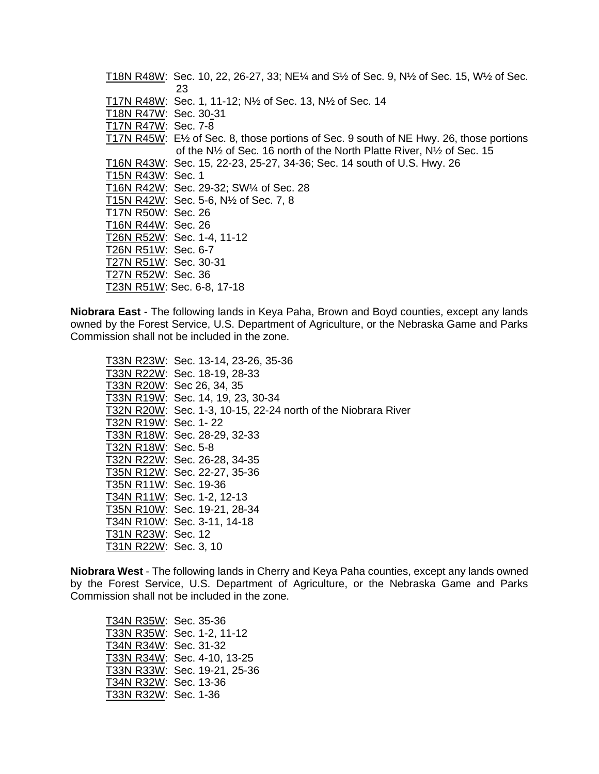|                       | T18N R48W: Sec. 10, 22, 26-27, 33; NE $\frac{1}{4}$ and S $\frac{1}{2}$ of Sec. 9, N $\frac{1}{2}$ of Sec. 15, W $\frac{1}{2}$ of Sec. |
|-----------------------|----------------------------------------------------------------------------------------------------------------------------------------|
|                       | 23                                                                                                                                     |
|                       | T17N R48W: Sec. 1, 11-12; N <sup>1</sup> / <sub>2</sub> of Sec. 13, N <sup>1</sup> / <sub>2</sub> of Sec. 14                           |
| T18N R47W: Sec. 30-31 |                                                                                                                                        |
| T17N R47W: Sec. 7-8   |                                                                                                                                        |
|                       | T17N R45W: E½ of Sec. 8, those portions of Sec. 9 south of NE Hwy. 26, those portions                                                  |
|                       | of the N <sup>1</sup> / <sub>2</sub> of Sec. 16 north of the North Platte River, N <sup>1</sup> / <sub>2</sub> of Sec. 15              |
|                       | T16N R43W: Sec. 15, 22-23, 25-27, 34-36; Sec. 14 south of U.S. Hwy. 26                                                                 |
| T15N R43W: Sec. 1     |                                                                                                                                        |
|                       | T16N R42W: Sec. 29-32; SW1/4 of Sec. 28                                                                                                |
|                       | T15N R42W: Sec. 5-6, N1/2 of Sec. 7, 8                                                                                                 |
| T17N R50W: Sec. 26    |                                                                                                                                        |
| T16N R44W: Sec. 26    |                                                                                                                                        |
|                       | T26N R52W: Sec. 1-4, 11-12                                                                                                             |
| T26N R51W: Sec. 6-7   |                                                                                                                                        |
| T27N R51W: Sec. 30-31 |                                                                                                                                        |
| T27N R52W: Sec. 36    |                                                                                                                                        |
|                       | T23N R51W: Sec. 6-8, 17-18                                                                                                             |

**Niobrara East** - The following lands in Keya Paha, Brown and Boyd counties, except any lands owned by the Forest Service, U.S. Department of Agriculture, or the Nebraska Game and Parks Commission shall not be included in the zone.

T33N R23W: Sec. 13-14, 23-26, 35-36 T33N R22W: Sec. 18-19, 28-33 T33N R20W: Sec 26, 34, 35 T33N R19W: Sec. 14, 19, 23, 30-34 T32N R20W: Sec. 1-3, 10-15, 22-24 north of the Niobrara River T32N R19W: Sec. 1-22 T33N R18W: Sec. 28-29, 32-33 T32N R18W: Sec. 5-8 T32N R22W: Sec. 26-28, 34-35 T35N R12W: Sec. 22-27, 35-36 T35N R11W: Sec. 19-36 T34N R11W: Sec. 1-2, 12-13 T35N R10W: Sec. 19-21, 28-34 T34N R10W: Sec. 3-11, 14-18 T31N R23W: Sec. 12 T31N R22W: Sec. 3, 10

**Niobrara West** - The following lands in Cherry and Keya Paha counties, except any lands owned by the Forest Service, U.S. Department of Agriculture, or the Nebraska Game and Parks Commission shall not be included in the zone.

| T34N R35W: Sec. 35-36 |                              |
|-----------------------|------------------------------|
|                       | T33N R35W: Sec. 1-2, 11-12   |
| T34N R34W: Sec. 31-32 |                              |
|                       | T33N R34W: Sec. 4-10, 13-25  |
|                       | T33N R33W: Sec. 19-21, 25-36 |
| T34N R32W: Sec. 13-36 |                              |
| T33N R32W: Sec. 1-36  |                              |